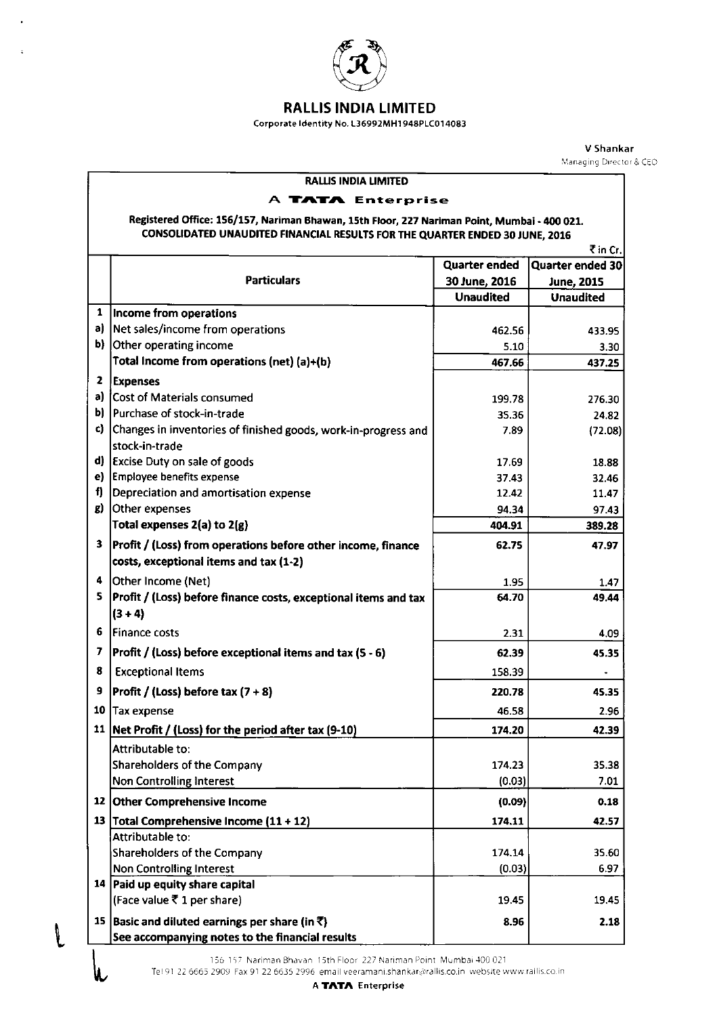

## RALLiS:NDIA LiMITED

Corporate Identity No. L36992MH1948PLC014083

V Shankar Managing Director & CEO

### RALLIS INDIA LIMITED

## A TATA Enterprise

## Registered Office: 156/157, Nariman Bhawan, 15th Floor, 227 Nariman Point, Mumbai - 400 021 CONSOLIDATED UNAUDITED FINANCIAL RESULTS FOR THE QUARTER ENDED 30 JUNE, 201

|                         | ₹in Cr.                                                                                                |                      |                   |  |
|-------------------------|--------------------------------------------------------------------------------------------------------|----------------------|-------------------|--|
|                         |                                                                                                        | <b>Quarter ended</b> | Quarter ended 30  |  |
|                         | <b>Particulars</b>                                                                                     | 30 June, 2016        | <b>June, 2015</b> |  |
|                         |                                                                                                        | <b>Unaudited</b>     | <b>Unaudited</b>  |  |
| $\mathbf{1}$            | Income from operations                                                                                 |                      |                   |  |
| a)                      | Net sales/income from operations                                                                       | 462.56               | 433.95            |  |
|                         | b) Other operating income                                                                              | 5.10                 | 3.30              |  |
|                         | Total Income from operations (net) (a)+(b)                                                             | 467.66               | 437.25            |  |
| $\overline{\mathbf{z}}$ | <b>Expenses</b>                                                                                        |                      |                   |  |
|                         | a) Cost of Materials consumed                                                                          | 199.78               | 276.30            |  |
|                         | b) Purchase of stock-in-trade                                                                          | 35.36                | 24.82             |  |
| c).                     | Changes in inventories of finished goods, work-in-progress and                                         | 7.89                 | (72.08)           |  |
|                         | stock-in-trade                                                                                         |                      |                   |  |
|                         | d) Excise Duty on sale of goods                                                                        | 17.69                | 18.88             |  |
| e).                     | <b>Employee benefits expense</b>                                                                       | 37.43                | 32.46             |  |
| f)                      | Depreciation and amortisation expense                                                                  | 12.42                | 11.47             |  |
| g).                     | Other expenses                                                                                         | 94.34                | 97.43             |  |
|                         | Total expenses 2(a) to 2(g)                                                                            | 404.91               | 389.28            |  |
| 3                       | Profit / (Loss) from operations before other income, finance<br>costs, exceptional items and tax (1-2) | 62.75                | 47.97             |  |
| 4                       | Other Income (Net)                                                                                     | 1.95                 | 1.47              |  |
| 5                       | Profit / (Loss) before finance costs, exceptional items and tax                                        | 64.70                | 49.44             |  |
|                         | $(3 + 4)$                                                                                              |                      |                   |  |
| 6                       | <b>Finance costs</b>                                                                                   | 2.31                 | 4.09              |  |
| 7                       | Profit / (Loss) before exceptional items and tax (5 - 6)                                               | 62.39                | 45.35             |  |
| 8                       | <b>Exceptional Items</b>                                                                               | 158.39               |                   |  |
| 9                       | Profit / (Loss) before tax $(7 + 8)$                                                                   | 220.78               | 45.35             |  |
| 10                      | Tax expense                                                                                            | 46.58                | 2.96              |  |
|                         | 11   Net Profit / (Loss) for the period after tax (9-10)                                               | 174.20               | 42.39             |  |
|                         | Attributable to:                                                                                       |                      |                   |  |
|                         | Shareholders of the Company                                                                            | 174.23               | 35.38             |  |
|                         | Non Controlling Interest                                                                               | (0.03)               | 7.01              |  |
|                         | 12 Other Comprehensive Income                                                                          | (0.09)               | 0.18              |  |
|                         | 13 Total Comprehensive Income (11 + 12)                                                                | 174.11               | 42.57             |  |
|                         | Attributable to:                                                                                       |                      |                   |  |
|                         | Shareholders of the Company                                                                            | 174.14               | 35.60             |  |
|                         | Non Controlling Interest                                                                               | (0.03)               | 6.97              |  |
|                         | 14 Paid up equity share capital                                                                        |                      |                   |  |
|                         | (Face value ₹1 per share)                                                                              | 19.45                | 19.45             |  |
| 15                      | Basic and diluted earnings per share (in ₹)                                                            | 8.96                 | 2.18              |  |
|                         | See accompanying notes to the financial results                                                        |                      |                   |  |

156 157 Nariman Bhavan 15th Floor 227 Nariman Point. Mumbai 400 021.

 $\mathbf{I}$ 

Tel 91 22 6665 2909. Fax 91 22 6635 2996 email veeramani.shankar@rallis.co.in website www.rallis.co.in